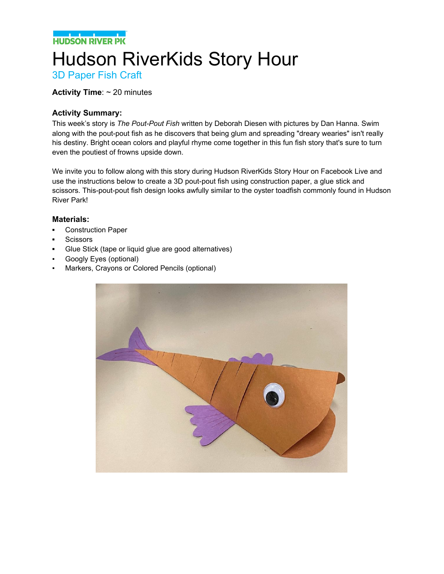**NATIONAL PROPERTY** 

# Hudson RiverKids Story Hour

3D Paper Fish Craft

#### **Activity Time**: ~ 20 minutes

#### **Activity Summary:**

This week's story is *The Pout-Pout Fish* written by Deborah Diesen with pictures by Dan Hanna. Swim along with the pout-pout fish as he discovers that being glum and spreading "dreary wearies" isn't really his destiny. Bright ocean colors and playful rhyme come together in this fun fish story that's sure to turn even the poutiest of frowns upside down.

We invite you to follow along with this story during Hudson RiverKids Story Hour on Facebook Live and use the instructions below to create a 3D pout-pout fish using construction paper, a glue stick and scissors. This-pout-pout fish design looks awfully similar to the oyster toadfish commonly found in Hudson River Park!

#### **Materials:**

- **▪** Construction Paper
- **▪** Scissors
- **▪** Glue Stick (tape or liquid glue are good alternatives)
- **Googly Eyes (optional)**
- Markers, Crayons or Colored Pencils (optional)

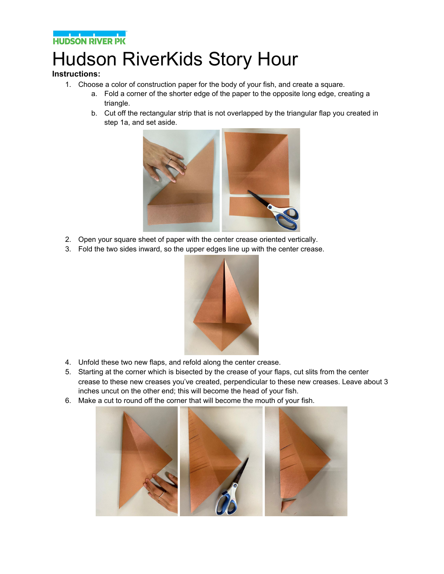

## Hudson RiverKids Story Hour

### **Instructions:**

- 1. Choose a color of construction paper for the body of your fish, and create a square.
	- a. Fold a corner of the shorter edge of the paper to the opposite long edge, creating a triangle.
	- b. Cut off the rectangular strip that is not overlapped by the triangular flap you created in step 1a, and set aside.



- 2. Open your square sheet of paper with the center crease oriented vertically.
- 3. Fold the two sides inward, so the upper edges line up with the center crease.



- 4. Unfold these two new flaps, and refold along the center crease.
- 5. Starting at the corner which is bisected by the crease of your flaps, cut slits from the center crease to these new creases you've created, perpendicular to these new creases. Leave about 3 inches uncut on the other end; this will become the head of your fish.
- 6. Make a cut to round off the corner that will become the mouth of your fish.

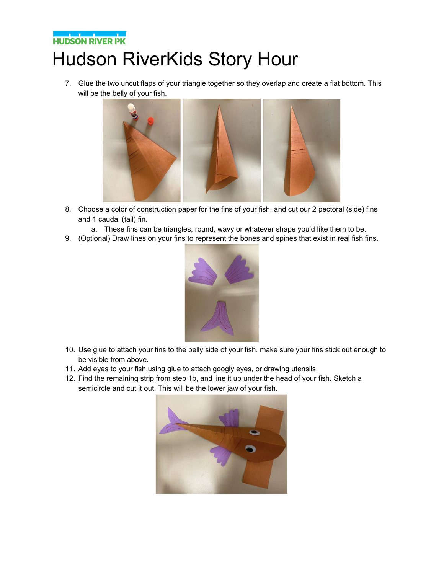### **THE POST OF BUILDING**<br>THUDSON RIVER PK Hudson RiverKids Story Hour

7. Glue the two uncut flaps of your triangle together so they overlap and create a flat bottom. This will be the belly of your fish.



- 8. Choose a color of construction paper for the fins of your fish, and cut our 2 pectoral (side) fins and 1 caudal (tail) fin.
	- a. These fins can be triangles, round, wavy or whatever shape you'd like them to be.
- 9. (Optional) Draw lines on your fins to represent the bones and spines that exist in real fish fins.



- 10. Use glue to attach your fins to the belly side of your fish. make sure your fins stick out enough to be visible from above.
- 11. Add eyes to your fish using glue to attach googly eyes, or drawing utensils.
- 12. Find the remaining strip from step 1b, and line it up under the head of your fish. Sketch a semicircle and cut it out. This will be the lower jaw of your fish.